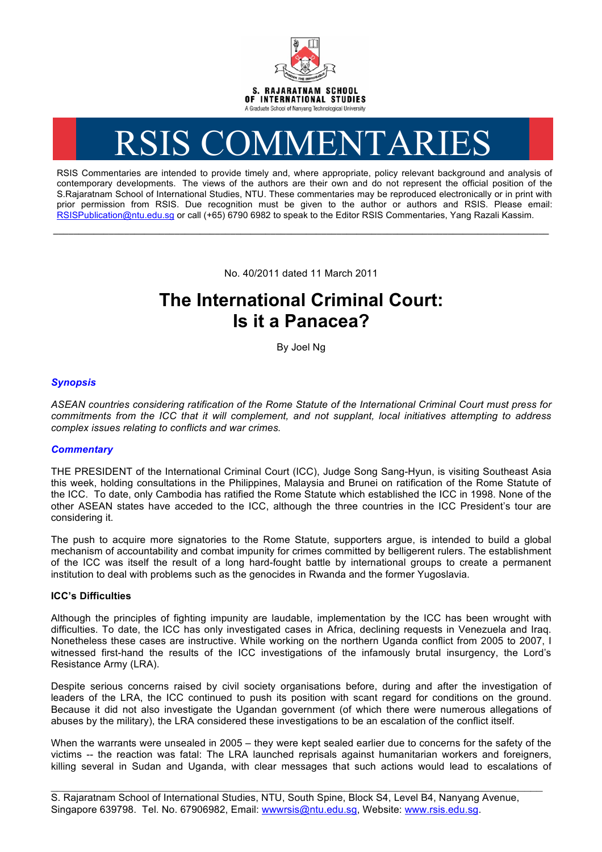

# RSIS COMMENTARIES

RSIS Commentaries are intended to provide timely and, where appropriate, policy relevant background and analysis of contemporary developments. The views of the authors are their own and do not represent the official position of the S.Rajaratnam School of International Studies, NTU. These commentaries may be reproduced electronically or in print with prior permission from RSIS. Due recognition must be given to the author or authors and RSIS. Please email: RSISPublication@ntu.edu.sg or call (+65) 6790 6982 to speak to the Editor RSIS Commentaries, Yang Razali Kassim.

No. 40/2011 dated 11 March 2011

**\_\_\_\_\_\_\_\_\_\_\_\_\_\_\_\_\_\_\_\_\_\_\_\_\_\_\_\_\_\_\_\_\_\_\_\_\_\_\_\_\_\_\_\_\_\_\_\_\_\_\_\_\_\_\_\_\_\_\_\_\_\_\_\_\_\_\_\_\_\_\_\_\_\_\_\_\_\_\_\_\_\_\_\_\_\_\_\_\_\_\_\_\_\_\_\_\_\_**

## **The International Criminal Court: Is it a Panacea?**

By Joel Ng

### *Synopsis*

*ASEAN countries considering ratification of the Rome Statute of the International Criminal Court must press for commitments from the ICC that it will complement, and not supplant, local initiatives attempting to address complex issues relating to conflicts and war crimes.*

#### *Commentary*

THE PRESIDENT of the International Criminal Court (ICC), Judge Song Sang-Hyun, is visiting Southeast Asia this week, holding consultations in the Philippines, Malaysia and Brunei on ratification of the Rome Statute of the ICC. To date, only Cambodia has ratified the Rome Statute which established the ICC in 1998. None of the other ASEAN states have acceded to the ICC, although the three countries in the ICC President's tour are considering it.

The push to acquire more signatories to the Rome Statute, supporters argue, is intended to build a global mechanism of accountability and combat impunity for crimes committed by belligerent rulers. The establishment of the ICC was itself the result of a long hard-fought battle by international groups to create a permanent institution to deal with problems such as the genocides in Rwanda and the former Yugoslavia.

#### **ICC's Difficulties**

Although the principles of fighting impunity are laudable, implementation by the ICC has been wrought with difficulties. To date, the ICC has only investigated cases in Africa, declining requests in Venezuela and Iraq. Nonetheless these cases are instructive. While working on the northern Uganda conflict from 2005 to 2007, I witnessed first-hand the results of the ICC investigations of the infamously brutal insurgency, the Lord's Resistance Army (LRA).

Despite serious concerns raised by civil society organisations before, during and after the investigation of leaders of the LRA, the ICC continued to push its position with scant regard for conditions on the ground. Because it did not also investigate the Ugandan government (of which there were numerous allegations of abuses by the military), the LRA considered these investigations to be an escalation of the conflict itself.

When the warrants were unsealed in 2005 – they were kept sealed earlier due to concerns for the safety of the victims -- the reaction was fatal: The LRA launched reprisals against humanitarian workers and foreigners, killing several in Sudan and Uganda, with clear messages that such actions would lead to escalations of